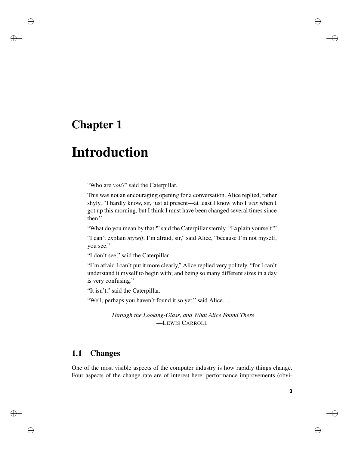# Chapter 1

 $\oplus$ 

 $\bigoplus$ 

 $\phi$ 

 $\bigoplus$ 

# Introduction

"Who are *you*?" said the Caterpillar.

This was not an encouraging opening for a conversation. Alice replied, rather shyly, "I hardly know, sir, just at present—at least I know who I *was* when I got up this morning, but I think I must have been changed several times since then."

"What do you mean by that?" said the Caterpillar sternly. "Explain yourself!"

"I can't explain *myself*, I'm afraid, sir," said Alice, "because I'm not myself, you see."

"I don't see," said the Caterpillar.

"I'm afraid I can't put it more clearly," Alice replied very politely, "for I can't understand it myself to begin with; and being so many different sizes in a day is very confusing."

"It isn't," said the Caterpillar.

"Well, perhaps you haven't found it so yet," said Alice....

*Through the Looking-Glass, and What Alice Found There* —LEWIS CARROLL

# 1.1 Changes

One of the most visible aspects of the computer industry is how rapidly things change. Four aspects of the change rate are of interest here: performance improvements (obvi-

 $\rightarrow$ 

 $\oplus$ 

D.

 $\oplus$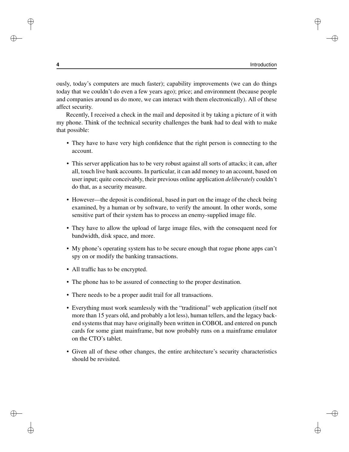$\rightarrow$ 

D.

D.

ously, today's computers are much faster); capability improvements (we can do things today that we couldn't do even a few years ago); price; and environment (because people and companies around us do more, we can interact with them electronically). All of these affect security.

Recently, I received a check in the mail and deposited it by taking a picture of it with my phone. Think of the technical security challenges the bank had to deal with to make that possible:

- They have to have very high confidence that the right person is connecting to the account.
- This server application has to be very robust against all sorts of attacks; it can, after all, touch live bank accounts. In particular, it can add money to an account, based on user input; quite conceivably, their previous online application *deliberately* couldn't do that, as a security measure.
- However—the deposit is conditional, based in part on the image of the check being examined, by a human or by software, to verify the amount. In other words, some sensitive part of their system has to process an enemy-supplied image file.
- They have to allow the upload of large image files, with the consequent need for bandwidth, disk space, and more.
- My phone's operating system has to be secure enough that rogue phone apps can't spy on or modify the banking transactions.
- All traffic has to be encrypted.
- The phone has to be assured of connecting to the proper destination.
- There needs to be a proper audit trail for all transactions.
- Everything must work seamlessly with the "traditional" web application (itself not more than 15 years old, and probably a lot less), human tellers, and the legacy backend systems that may have originally been written in COBOL and entered on punch cards for some giant mainframe, but now probably runs on a mainframe emulator on the CTO's tablet.
- Given all of these other changes, the entire architecture's security characteristics should be revisited.

A

A

 $\overline{\oplus}$ 

 $\bigoplus$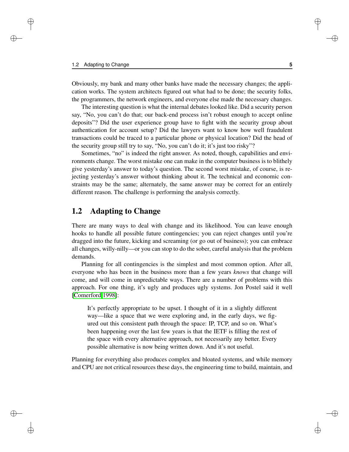A

A

 $\Leftrightarrow$ 

 $\bigoplus$ 

Obviously, my bank and many other banks have made the necessary changes; the application works. The system architects figured out what had to be done; the security folks, the programmers, the network engineers, and everyone else made the necessary changes.

The interesting question is what the internal debates looked like. Did a security person say, "No, you can't do that; our back-end process isn't robust enough to accept online deposits"? Did the user experience group have to fight with the security group about authentication for account setup? Did the lawyers want to know how well fraudulent transactions could be traced to a particular phone or physical location? Did the head of the security group still try to say, "No, you can't do it; it's just too risky"?

Sometimes, "no" is indeed the right answer. As noted, though, capabilities and environments change. The worst mistake one can make in the computer business is to blithely give yesterday's answer to today's question. The second worst mistake, of course, is rejecting yesterday's answer without thinking about it. The technical and economic constraints may be the same; alternately, the same answer may be correct for an entirely different reason. The challenge is performing the analysis correctly.

## 1.2 Adapting to Change

There are many ways to deal with change and its likelihood. You can leave enough hooks to handle all possible future contingencies; you can reject changes until you're dragged into the future, kicking and screaming (or go out of business); you can embrace all changes, willy-nilly—or you can stop to do the sober, careful analysis that the problem demands.

Planning for all contingencies is the simplest and most common option. After all, everyone who has been in the business more than a few years *knows* that change will come, and will come in unpredictable ways. There are a number of problems with this approach. For one thing, it's ugly and produces ugly systems. Jon Postel said it well [Comerford<sup>[1998]</sup>]:

It's perfectly appropriate to be upset. I thought of it in a slightly different way—like a space that we were exploring and, in the early days, we figured out this consistent path through the space: IP, TCP, and so on. What's been happening over the last few years is that the IETF is filling the rest of the space with every alternative approach, not necessarily any better. Every possible alternative is now being written down. And it's not useful.

Planning for everything also produces complex and bloated systems, and while memory and CPU are not critical resources these days, the engineering time to build, maintain, and

D.

i

Æ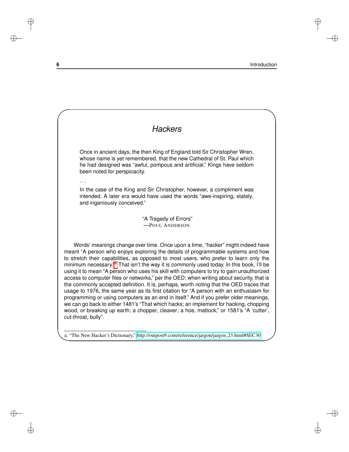D.

D.

D.

# *Hackers*

Once in ancient days, the then King of England told Sir Christopher Wren, whose name is yet remembered, that the new Cathedral of St. Paul which he had designed was "awful, pompous and artificial." Kings have seldom been noted for perspicacity.

In the case of the King and Sir Christopher, however, a compliment was intended. A later era would have used the words "awe-inspiring, stately, and ingeniously conceived."

> "A Tragedy of Errors" —POUL ANDERSON

Words' meanings change over time. Once upon a time, "hacker" might indeed have meant "A person who enjoys exploring the details of programmable systems and how to stretch their capabilities, as opposed to most users, who prefer to learn only the minimum necess[a](#page--1-1)ry.<sup>"a</sup> That isn't the way it is commonly used today. In this book, I'll be using it to mean "A person who uses his skill with computers to try to gain unauthorized access to computer files or networks," per the OED; when writing about security, that is the commonly accepted definition. It is, perhaps, worth noting that the OED traces that usage to 1976, the same year as its first citation for "A person with an enthusiasm for programming or using computers as an end in itself." And if you prefer older meanings, we can go back to either 1481's "That which hacks; an implement for hacking, chopping wood, or breaking up earth; a chopper, cleaver; a hoe, mattock," or 1581's "A 'cutter', cut-throat, bully".

a. "The New Hacker's Dictionary," [http://outpost9.com/reference/jargon/jargon](http://outpost9.com/reference/jargon/jargon_23.html#SEC30) 23.html#SEC30.

 $\bigg($ 

...

&

A

)<br>J

 $\Leftrightarrow$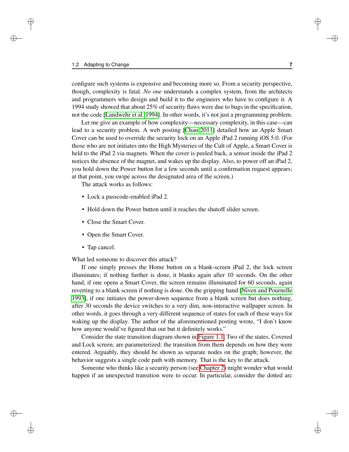A)

A

 $\Leftrightarrow$ 

 $\bigoplus$ 

configure such systems is expensive and becoming more so. From a security perspective, though, complexity is fatal. *No one* understands a complex system, from the architects and programmers who design and build it to the engineers who have to configure it. A 1994 study showed that about 25% of security flaws were due to bugs in the specification, not the code [\[Landwehr et al. 1994\]](#page--1-2). In other words, it's not just a programming problem.

Let me give an example of how complexity—necessary complexity, in this case—can lead to a security problem. A web posting [\[Chan 2011\]](#page--1-3) detailed how an Apple Smart Cover can be used to override the security lock on an Apple iPad 2 running iOS 5.0. (For those who are not initiates into the High Mysteries of the Cult of Apple, a Smart Cover is held to the iPad 2 via magnets. When the cover is peeled back, a sensor inside the iPad 2 notices the absence of the magnet, and wakes up the display. Also, to power off an iPad 2, you hold down the Power button for a few seconds until a confirmation request appears; at that point, you swipe across the designated area of the screen.)

The attack works as follows:

- Lock a passcode-enabled iPad 2.
- Hold down the Power button until it reaches the shutoff slider screen.
- Close the Smart Cover.
- Open the Smart Cover.
- Tap cancel.

What led someone to discover this attack?

If one simply presses the Home button on a blank-screen iPad 2, the lock screen illuminates; if nothing further is done, it blanks again after 10 seconds. On the other hand, if one opens a Smart Cover, the screen remains illuminated for 60 seconds, again reverting to a blank screen if nothing is done. On the gripping hand [\[Niven and Pournelle](#page--1-4) [1993\]](#page--1-4), if one initiates the power-down sequence from a blank screen but does nothing, after 30 seconds the device switches to a very dim, non-interactive wallpaper screen. In other words, it goes through a very different sequence of states for each of these ways for waking up the display. The author of the aforementioned posting wrote, "I don't know how anyone would've figured that out but it definitely works."

Consider the state transition diagram shown in [Figure 1.1.](#page--1-5) Two of the states, Covered and Lock screen, are parameterized: the transition from them depends on how they were entered. Arguably, they should be shown as separate nodes on the graph; however, the behavior suggests a single code path with memory. That is the key to the attack.

Someone who thinks like a security person (see [Chapter 2\)](#page--1-6) might wonder what would happen if an unexpected transition were to occur. In particular, consider the dotted arc D.

i

Æ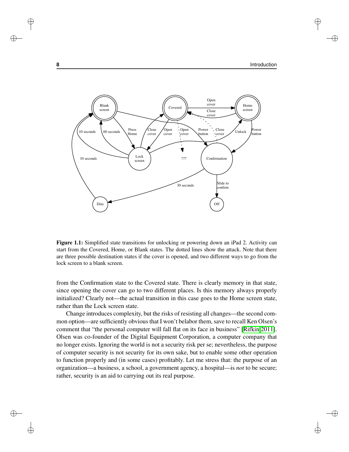€



Figure 1.1: Simplified state transitions for unlocking or powering down an iPad 2. Activity can start from the Covered, Home, or Blank states. The dotted lines show the attack. Note that there are three possible destination states if the cover is opened, and two different ways to go from the lock screen to a blank screen.

from the Confirmation state to the Covered state. There is clearly memory in that state, since opening the cover can go to two different places. Is this memory always properly initialized? Clearly not—the actual transition in this case goes to the Home screen state, rather than the Lock screen state.

Change introduces complexity, but the risks of resisting all changes—the second common option—are sufficiently obvious that I won't belabor them, save to recall Ken Olsen's comment that "the personal computer will fall flat on its face in business" [Rifkin [2011]. Olsen was co-founder of the Digital Equipment Corporation, a computer company that no longer exists. Ignoring the world is not a security risk per se; nevertheless, the purpose of computer security is not security for its own sake, but to enable some other operation to function properly and (in some cases) profitably. Let me stress that: the purpose of an organization—a business, a school, a government agency, a hospital—is *not* to be secure; rather, security is an aid to carrying out its real purpose.

8

 $\bigoplus$ 

 $\oplus$ 

 $\oplus$ 

 $\overline{\bigoplus}$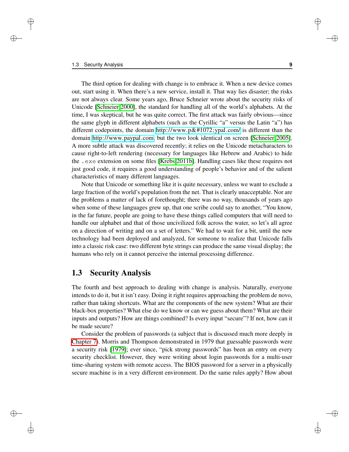#### 1.3 Security Analysis **9**

 $\oplus$ 

A

 $\overline{\bigoplus}$ 

 $\bigoplus$ 

The third option for dealing with change is to embrace it. When a new device comes out, start using it. When there's a new service, install it. That way lies disaster; the risks are not always clear. Some years ago, Bruce Schneier wrote about the security risks of Unicode **Schneier 2000**, the standard for handling all of the world's alphabets. At the time, I was skeptical, but he was quite correct. The first attack was fairly obvious—since the same glyph in different alphabets (such as the Cyrillic "a" versus the Latin "a") has different codepoints, the domain  $\frac{\text{http://www.pаypal.com/}}{\text{is different than the}}$ domain [http://www.paypal.com,](http://www.paypal.com) but the two look identical on screen [\[Schneier 2005\]](#page--1-9). A more subtle attack was discovered recently; it relies on the Unicode metacharacters to cause right-to-left rendering (necessary for languages like Hebrew and Arabic) to hide the . exe extension on some files  $[Krebs 2011b]$ . Handling cases like these requires not just good code, it requires a good understanding of people's behavior and of the salient characteristics of many different languages.

Note that Unicode or something like it is quite necessary, unless we want to exclude a large fraction of the world's population from the net. That is clearly unacceptable. Nor are the problems a matter of lack of forethought; there was no way, thousands of years ago when some of these languages grew up, that one scribe could say to another, "You know, in the far future, people are going to have these things called computers that will need to handle our alphabet and that of those uncivilized folk across the water, so let's all agree on a direction of writing and on a set of letters." We had to wait for a bit, until the new technology had been deployed and analyzed, for someone to realize that Unicode falls into a classic risk case: two different byte strings can produce the same visual display; the humans who rely on it cannot perceive the internal processing difference.

## 1.3 Security Analysis

The fourth and best approach to dealing with change is analysis. Naturally, everyone intends to do it, but it isn't easy. Doing it right requires approaching the problem de novo, rather than taking shortcuts. What are the components of the new system? What are their black-box properties? What else do we know or can we guess about them? What are their inputs and outputs? How are things combined? Is every input "secure"? If not, how can it be made secure?

Consider the problem of passwords (a subject that is discussed much more deeply in [Chapter 7\)](#page--1-6). Morris and Thompson demonstrated in 1979 that guessable passwords were a security risk [\[1979\]](#page--1-11); ever since, "pick strong passwords" has been an entry on every security checklist. However, they were writing about login passwords for a multi-user time-sharing system with remote access. The BIOS password for a server in a physically secure machine is in a very different environment. Do the same rules apply? How about

D.

i

 $\oplus$ 

 $\oplus$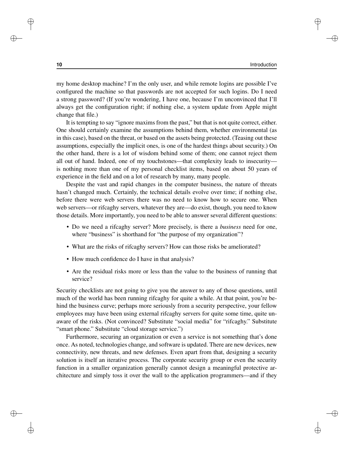i

Æ

D.

my home desktop machine? I'm the only user, and while remote logins are possible I've configured the machine so that passwords are not accepted for such logins. Do I need a strong password? (If you're wondering, I have one, because I'm unconvinced that I'll always get the configuration right; if nothing else, a system update from Apple might change that file.)

It is tempting to say "ignore maxims from the past," but that is not quite correct, either. One should certainly examine the assumptions behind them, whether environmental (as in this case), based on the threat, or based on the assets being protected. (Teasing out these assumptions, especially the implicit ones, is one of the hardest things about security.) On the other hand, there is a lot of wisdom behind some of them; one cannot reject them all out of hand. Indeed, one of my touchstones—that complexity leads to insecurity is nothing more than one of my personal checklist items, based on about 50 years of experience in the field and on a lot of research by many, many people.

Despite the vast and rapid changes in the computer business, the nature of threats hasn't changed much. Certainly, the technical details evolve over time; if nothing else, before there were web servers there was no need to know how to secure one. When web servers—or rifcaghy servers, whatever they are—do exist, though, you need to know those details. More importantly, you need to be able to answer several different questions:

- Do we need a rifcaghy server? More precisely, is there a *business* need for one, where "business" is shorthand for "the purpose of my organization"?
- What are the risks of rifcaghy servers? How can those risks be ameliorated?
- How much confidence do I have in that analysis?
- Are the residual risks more or less than the value to the business of running that service?

Security checklists are not going to give you the answer to any of those questions, until much of the world has been running rifcaghy for quite a while. At that point, you're behind the business curve; perhaps more seriously from a security perspective, your fellow employees may have been using external rifcaghy servers for quite some time, quite unaware of the risks. (Not convinced? Substitute "social media" for "rifcaghy." Substitute "smart phone." Substitute "cloud storage service.")

Furthermore, securing an organization or even a service is not something that's done once. As noted, technologies change, and software is updated. There are new devices, new connectivity, new threats, and new defenses. Even apart from that, designing a security solution is itself an iterative process. The corporate security group or even the security function in a smaller organization generally cannot design a meaningful protective architecture and simply toss it over the wall to the application programmers—and if they

A

A

 $\overline{\oplus}$ 

 $\bigoplus$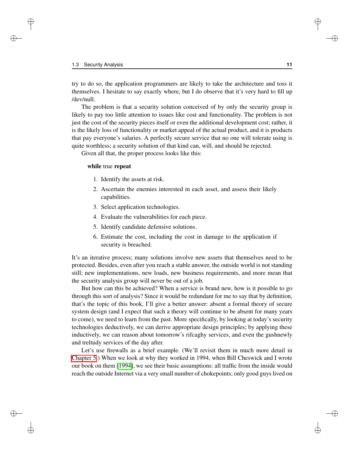A

A

 $\Leftrightarrow$ 

 $\bigoplus$ 

try to do so, the application programmers are likely to take the architecture and toss it themselves. I hesitate to say exactly where, but I do observe that it's very hard to fill up /dev/null.

The problem is that a security solution conceived of by only the security group is likely to pay too little attention to issues like cost and functionality. The problem is not just the cost of the security pieces itself or even the additional development cost; rather, it is the likely loss of functionality or market appeal of the actual product, and it is products that pay everyone's salaries. A perfectly secure service that no one will tolerate using is quite worthless; a security solution of that kind can, will, and should be rejected.

Given all that, the proper process looks like this:

### while true repeat

- 1. Identify the assets at risk.
- 2. Ascertain the enemies interested in each asset, and assess their likely capabilities.
- 3. Select application technologies.
- 4. Evaluate the vulnerabilities for each piece.
- 5. Identify candidate defensive solutions.
- 6. Estimate the cost, including the cost in damage to the application if security is breached.

It's an iterative process; many solutions involve new assets that themselves need to be protected. Besides, even after you reach a stable answer, the outside world is not standing still; new implementations, new loads, new business requirements, and more mean that the security analysis group will never be out of a job.

But how can this be achieved? When a service is brand new, how is it possible to go through this sort of analysis? Since it would be redundant for me to say that by definition, that's the topic of this book, I'll give a better answer: absent a formal theory of secure system design (and I expect that such a theory will continue to be absent for many years to come), we need to learn from the past. More specifically, by looking at today's security technologies deductively, we can derive appropriate design principles; by applying these inductively, we can reason about tomorrow's rifcaghy services, and even the gushnewly and treltudy services of the day after.

Let's use firewalls as a brief example. (We'll revisit them in much more detail in **[Chapter 5.](#page--1-6)**) When we look at why they worked in 1994, when Bill Cheswick and I wrote our book on them [\[1994\]](#page--1-10), we see their basic assumptions: all traffic from the inside would reach the outside Internet via a very small number of chokepoints; only good guys lived on D.

i

D.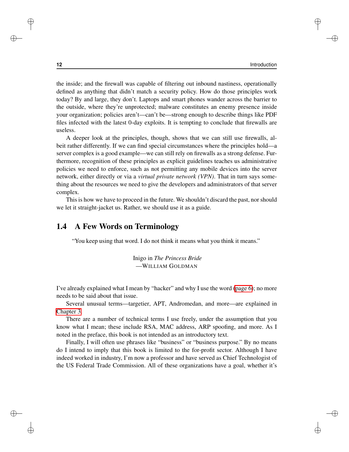D.

D.

D.

the inside; and the firewall was capable of filtering out inbound nastiness, operationally defined as anything that didn't match a security policy. How do those principles work today? By and large, they don't. Laptops and smart phones wander across the barrier to the outside, where they're unprotected; malware constitutes an enemy presence inside your organization; policies aren't—can't be—strong enough to describe things like PDF files infected with the latest 0-day exploits. It is tempting to conclude that firewalls are useless.

A deeper look at the principles, though, shows that we can still use firewalls, albeit rather differently. If we can find special circumstances where the principles hold—a server complex is a good example—we can still rely on firewalls as a strong defense. Furthermore, recognition of these principles as explicit guidelines teaches us administrative policies we need to enforce, such as not permitting any mobile devices into the server network, either directly or via a *virtual private network (VPN)*. That in turn says something about the resources we need to give the developers and administrators of that server complex.

This is how we have to proceed in the future. We shouldn't discard the past, nor should we let it straight-jacket us. Rather, we should use it as a guide.

## 1.4 A Few Words on Terminology

"You keep using that word. I do not think it means what you think it means."

Inigo in *The Princess Bride* —WILLIAM GOLDMAN

I've already explained what I mean by "hacker" and why I use the word  $(\text{page 6})$ ; no more needs to be said about that issue.

Several unusual terms—targetier, APT, Andromedan, and more—are explained in [Chapter 3.](#page--1-6)

There are a number of technical terms I use freely, under the assumption that you know what I mean; these include RSA, MAC address, ARP spoofing, and more. As I noted in the preface, this book is not intended as an introductory text.

Finally, I will often use phrases like "business" or "business purpose." By no means do I intend to imply that this book is limited to the for-profit sector. Although I have indeed worked in industry, I'm now a professor and have served as Chief Technologist of the US Federal Trade Commission. All of these organizations have a goal, whether it's

A

 $\bigoplus$ 

)<br>J